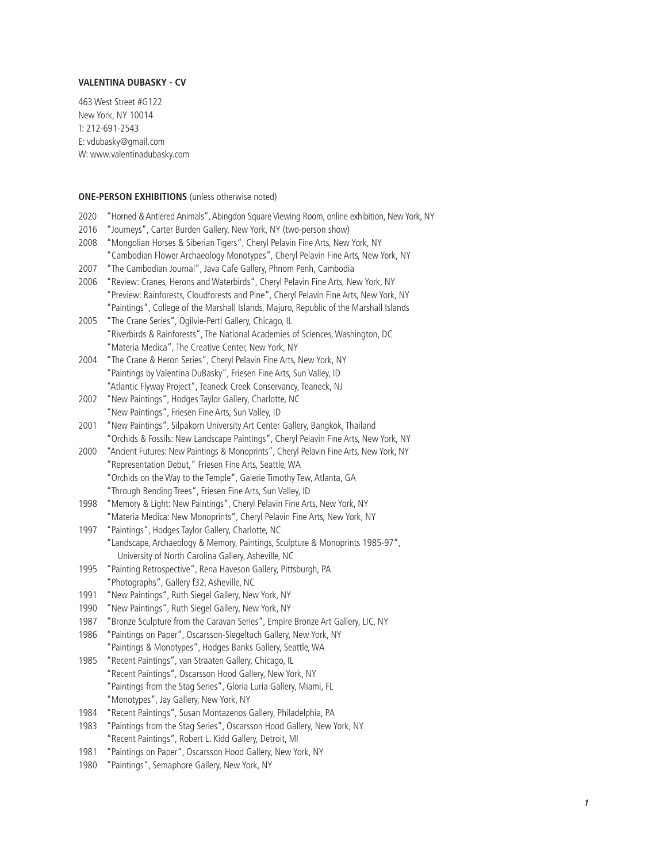# **VALENTINA DUBASKY - CV**

463 West Street #G122 New York, NY 10014 T: 212-691-2543 E: vdubasky@gmail.com W: www.valentinadubasky.com

# **ONE-PERSON EXHIBITIONS** (unless otherwise noted)

| 2020<br>2016 | "Horned & Antlered Animals", Abingdon Square Viewing Room, online exhibition, New York, NY<br>"Journeys", Carter Burden Gallery, New York, NY (two-person show)  |
|--------------|------------------------------------------------------------------------------------------------------------------------------------------------------------------|
| 2008         | "Mongolian Horses & Siberian Tigers", Cheryl Pelavin Fine Arts, New York, NY<br>"Cambodian Flower Archaeology Monotypes", Cheryl Pelavin Fine Arts, New York, NY |
| 2007         | "The Cambodian Journal", Java Cafe Gallery, Phnom Penh, Cambodia                                                                                                 |
| 2006         | "Review: Cranes, Herons and Waterbirds", Cheryl Pelavin Fine Arts, New York, NY                                                                                  |
|              | "Preview: Rainforests, Cloudforests and Pine", Cheryl Pelavin Fine Arts, New York, NY                                                                            |
|              | "Paintings", College of the Marshall Islands, Majuro, Republic of the Marshall Islands                                                                           |
| 2005         | "The Crane Series", Ogilvie-Pertl Gallery, Chicago, IL                                                                                                           |
|              | "Riverbirds & Rainforests", The National Academies of Sciences, Washington, DC                                                                                   |
|              | "Materia Medica", The Creative Center, New York, NY                                                                                                              |
| 2004         | "The Crane & Heron Series", Cheryl Pelavin Fine Arts, New York, NY                                                                                               |
|              | "Paintings by Valentina DuBasky", Friesen Fine Arts, Sun Valley, ID                                                                                              |
|              | "Atlantic Flyway Project", Teaneck Creek Conservancy, Teaneck, NJ                                                                                                |
| 2002         | "New Paintings", Hodges Taylor Gallery, Charlotte, NC                                                                                                            |
|              | "New Paintings", Friesen Fine Arts, Sun Valley, ID                                                                                                               |
| 2001         | "New Paintings", Silpakorn University Art Center Gallery, Bangkok, Thailand                                                                                      |
|              | "Orchids & Fossils: New Landscape Paintings", Cheryl Pelavin Fine Arts, New York, NY                                                                             |
| 2000         | "Ancient Futures: New Paintings & Monoprints", Cheryl Pelavin Fine Arts, New York, NY                                                                            |
|              | "Representation Debut," Friesen Fine Arts, Seattle, WA                                                                                                           |
|              | "Orchids on the Way to the Temple", Galerie Timothy Tew, Atlanta, GA                                                                                             |
|              | "Through Bending Trees", Friesen Fine Arts, Sun Valley, ID                                                                                                       |
| 1998         | "Memory & Light: New Paintings", Cheryl Pelavin Fine Arts, New York, NY                                                                                          |
|              | "Materia Medica: New Monoprints", Cheryl Pelavin Fine Arts, New York, NY                                                                                         |
| 1997         | "Paintings", Hodges Taylor Gallery, Charlotte, NC                                                                                                                |
|              | "Landscape, Archaeology & Memory, Paintings, Sculpture & Monoprints 1985-97",                                                                                    |
|              | University of North Carolina Gallery, Asheville, NC                                                                                                              |
| 1995         | "Painting Retrospective", Rena Haveson Gallery, Pittsburgh, PA                                                                                                   |
|              | "Photographs", Gallery f32, Asheville, NC                                                                                                                        |
| 1991         | "New Paintings", Ruth Siegel Gallery, New York, NY                                                                                                               |
| 1990         | "New Paintings", Ruth Siegel Gallery, New York, NY                                                                                                               |
| 1987         | "Bronze Sculpture from the Caravan Series", Empire Bronze Art Gallery, LIC, NY                                                                                   |
| 1986         | "Paintings on Paper", Oscarsson-Siegeltuch Gallery, New York, NY                                                                                                 |
|              | "Paintings & Monotypes", Hodges Banks Gallery, Seattle, WA                                                                                                       |
| 1985         | "Recent Paintings", van Straaten Gallery, Chicago, IL                                                                                                            |
|              | "Recent Paintings", Oscarsson Hood Gallery, New York, NY<br>"Paintings from the Stag Series", Gloria Luria Gallery, Miami, FL                                    |
|              | "Monotypes", Jay Gallery, New York, NY                                                                                                                           |
| 1984         | "Recent Paintings", Susan Montazenos Gallery, Philadelphia, PA                                                                                                   |
| 1983         | "Paintings from the Stag Series", Oscarsson Hood Gallery, New York, NY                                                                                           |
|              | "Recent Paintings", Robert L. Kidd Gallery, Detroit, MI                                                                                                          |
|              |                                                                                                                                                                  |

- 1981 "Paintings on Paper", Oscarsson Hood Gallery, New York, NY
- 1980 "Paintings", Semaphore Gallery, New York, NY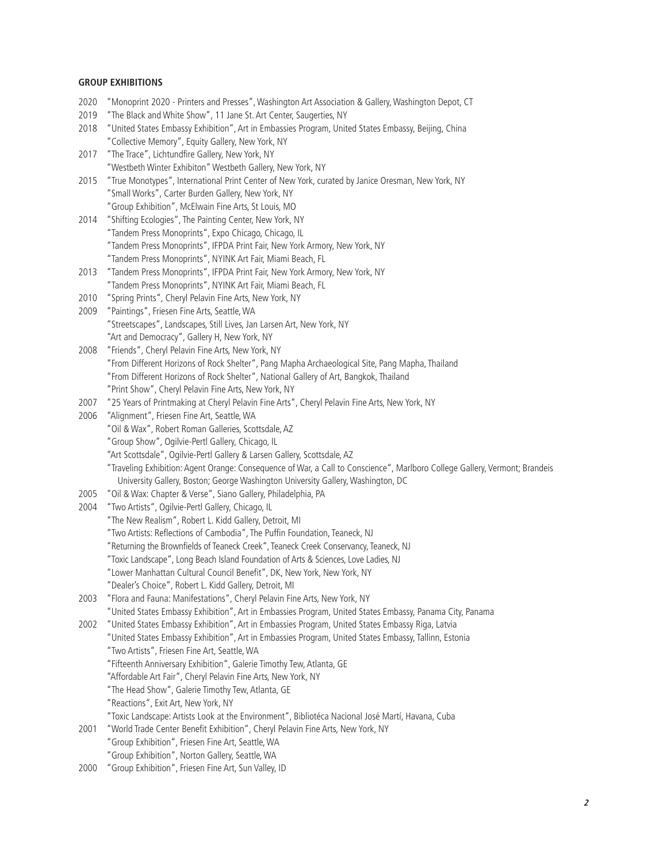### **GROUP EXHIBITIONS**

- 2020 "Monoprint 2020 Printers and Presses", Washington Art Association & Gallery, Washington Depot, CT 2019 "The Black and White Show", 11 Jane St. Art Center, Saugerties, NY 2018 "United States Embassy Exhibition", Art in Embassies Program, United States Embassy, Beijing, China "Collective Memory", Equity Gallery, New York, NY 2017 "The Trace", Lichtundfire Gallery, New York, NY "Westbeth Winter Exhibiton" Westbeth Gallery, New York, NY 2015 "True Monotypes", International Print Center of New York, curated by Janice Oresman, New York, NY "Small Works", Carter Burden Gallery, New York, NY "Group Exhibition", McElwain Fine Arts, St Louis, MO 2014 "Shifting Ecologies", The Painting Center, New York, NY "Tandem Press Monoprints", Expo Chicago, Chicago, IL "Tandem Press Monoprints", IFPDA Print Fair, New York Armory, New York, NY "Tandem Press Monoprints", NYINK Art Fair, Miami Beach, FL 2013 "Tandem Press Monoprints", IFPDA Print Fair, New York Armory, New York, NY "Tandem Press Monoprints", NYINK Art Fair, Miami Beach, FL 2010 "Spring Prints", Cheryl Pelavin Fine Arts, New York, NY 2009 "Paintings", Friesen Fine Arts, Seattle, WA "Streetscapes", Landscapes, Still Lives, Jan Larsen Art, New York, NY "Art and Democracy", Gallery H, New York, NY 2008 "Friends", Cheryl Pelavin Fine Arts, New York, NY "From Different Horizons of Rock Shelter", Pang Mapha Archaeological Site, Pang Mapha, Thailand "From Different Horizons of Rock Shelter", National Gallery of Art, Bangkok, Thailand "Print Show", Cheryl Pelavin Fine Arts, New York, NY 2007 "25 Years of Printmaking at Cheryl Pelavin Fine Arts", Cheryl Pelavin Fine Arts, New York, NY 2006 "Alignment", Friesen Fine Art, Seattle, WA "Oil & Wax", Robert Roman Galleries, Scottsdale, AZ "Group Show", Ogilvie-Pertl Gallery, Chicago, IL "Art Scottsdale", Ogilvie-Pertl Gallery & Larsen Gallery, Scottsdale, AZ "Traveling Exhibition: Agent Orange: Consequence of War, a Call to Conscience", Marlboro College Gallery, Vermont; Brandeis University Gallery, Boston; George Washington University Gallery, Washington, DC 2005 "Oil & Wax: Chapter & Verse", Siano Gallery, Philadelphia, PA 2004 "Two Artists", Ogilvie-Pertl Gallery, Chicago, IL "The New Realism", Robert L. Kidd Gallery, Detroit, MI "Two Artists: Reflections of Cambodia", The Puffin Foundation, Teaneck, NJ "Returning the Brownfields of Teaneck Creek", Teaneck Creek Conservancy, Teaneck, NJ "Toxic Landscape", Long Beach Island Foundation of Arts & Sciences, Love Ladies, NJ "Lower Manhattan Cultural Council Benefit", DK, New York, New York, NY "Dealer's Choice", Robert L. Kidd Gallery, Detroit, MI 2003 "Flora and Fauna: Manifestations", Cheryl Pelavin Fine Arts, New York, NY "United States Embassy Exhibition", Art in Embassies Program, United States Embassy, Panama City, Panama 2002 "United States Embassy Exhibition", Art in Embassies Program, United States Embassy Riga, Latvia "United States Embassy Exhibition", Art in Embassies Program, United States Embassy, Tallinn, Estonia "Two Artists", Friesen Fine Art, Seattle, WA "Fifteenth Anniversary Exhibition", Galerie Timothy Tew, Atlanta, GE "Affordable Art Fair", Cheryl Pelavin Fine Arts, New York, NY "The Head Show", Galerie Timothy Tew, Atlanta, GE "Reactions", Exit Art, New York, NY "Toxic Landscape: Artists Look at the Environment", Bibliotéca Nacional José Martí, Havana, Cuba 2001 "World Trade Center Benefit Exhibition", Cheryl Pelavin Fine Arts, New York, NY "Group Exhibition", Friesen Fine Art, Seattle, WA "Group Exhibition", Norton Gallery, Seattle, WA
- 2000 "Group Exhibition", Friesen Fine Art, Sun Valley, ID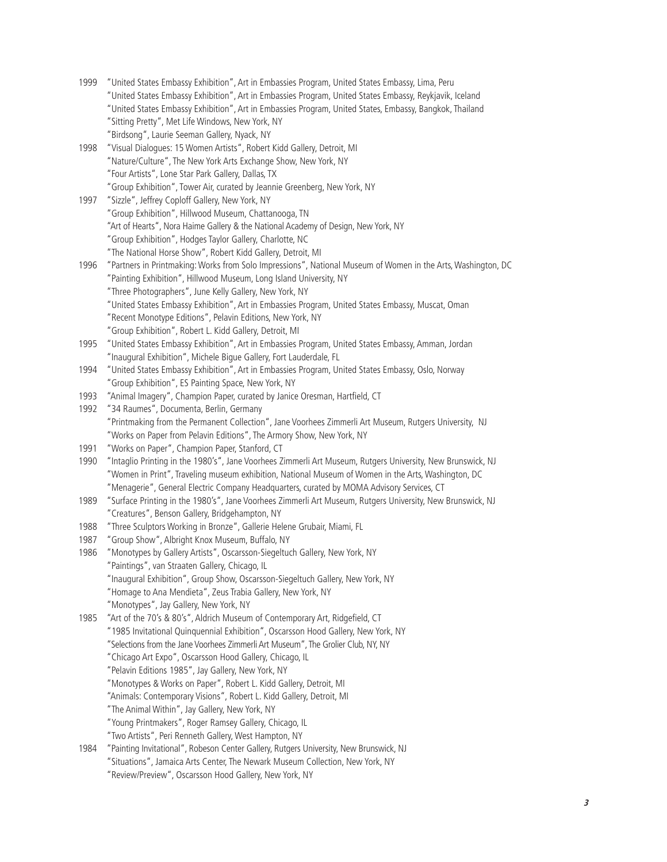1999 "United States Embassy Exhibition", Art in Embassies Program, United States Embassy, Lima, Peru "United States Embassy Exhibition", Art in Embassies Program, United States Embassy, Reykjavik, Iceland "United States Embassy Exhibition", Art in Embassies Program, United States, Embassy, Bangkok, Thailand "Sitting Pretty", Met Life Windows, New York, NY "Birdsong", Laurie Seeman Gallery, Nyack, NY 1998 "Visual Dialogues: 15 Women Artists", Robert Kidd Gallery, Detroit, MI "Nature/Culture", The New York Arts Exchange Show, New York, NY "Four Artists", Lone Star Park Gallery, Dallas, TX "Group Exhibition", Tower Air, curated by Jeannie Greenberg, New York, NY 1997 "Sizzle", Jeffrey Coploff Gallery, New York, NY "Group Exhibition", Hillwood Museum, Chattanooga, TN "Art of Hearts", Nora Haime Gallery & the National Academy of Design, New York, NY "Group Exhibition", Hodges Taylor Gallery, Charlotte, NC "The National Horse Show", Robert Kidd Gallery, Detroit, MI 1996 "Partners in Printmaking: Works from Solo Impressions", National Museum of Women in the Arts, Washington, DC "Painting Exhibition", Hillwood Museum, Long Island University, NY "Three Photographers", June Kelly Gallery, New York, NY "United States Embassy Exhibition", Art in Embassies Program, United States Embassy, Muscat, Oman "Recent Monotype Editions", Pelavin Editions, New York, NY "Group Exhibition", Robert L. Kidd Gallery, Detroit, MI 1995 "United States Embassy Exhibition", Art in Embassies Program, United States Embassy, Amman, Jordan "Inaugural Exhibition", Michele Bigue Gallery, Fort Lauderdale, FL 1994 "United States Embassy Exhibition", Art in Embassies Program, United States Embassy, Oslo, Norway "Group Exhibition", ES Painting Space, New York, NY 1993 "Animal Imagery", Champion Paper, curated by Janice Oresman, Hartfield, CT 1992 "34 Raumes", Documenta, Berlin, Germany "Printmaking from the Permanent Collection", Jane Voorhees Zimmerli Art Museum, Rutgers University, NJ "Works on Paper from Pelavin Editions", The Armory Show, New York, NY 1991 "Works on Paper", Champion Paper, Stanford, CT 1990 "Intaglio Printing in the 1980's", Jane Voorhees Zimmerli Art Museum, Rutgers University, New Brunswick, NJ "Women in Print", Traveling museum exhibition, National Museum of Women in the Arts, Washington, DC "Menagerie", General Electric Company Headquarters, curated by MOMA Advisory Services, CT 1989 "Surface Printing in the 1980's", Jane Voorhees Zimmerli Art Museum, Rutgers University, New Brunswick, NJ "Creatures", Benson Gallery, Bridgehampton, NY 1988 "Three Sculptors Working in Bronze", Gallerie Helene Grubair, Miami, FL 1987 "Group Show", Albright Knox Museum, Buffalo, NY 1986 "Monotypes by Gallery Artists", Oscarsson-Siegeltuch Gallery, New York, NY "Paintings", van Straaten Gallery, Chicago, IL "Inaugural Exhibition", Group Show, Oscarsson-Siegeltuch Gallery, New York, NY "Homage to Ana Mendieta", Zeus Trabia Gallery, New York, NY "Monotypes", Jay Gallery, New York, NY 1985 "Art of the 70's & 80's", Aldrich Museum of Contemporary Art, Ridgefield, CT "1985 Invitational Quinquennial Exhibition", Oscarsson Hood Gallery, New York, NY "Selections from the Jane Voorhees Zimmerli Art Museum", The Grolier Club, NY, NY "Chicago Art Expo", Oscarsson Hood Gallery, Chicago, IL "Pelavin Editions 1985", Jay Gallery, New York, NY "Monotypes & Works on Paper", Robert L. Kidd Gallery, Detroit, MI "Animals: Contemporary Visions", Robert L. Kidd Gallery, Detroit, MI "The Animal Within", Jay Gallery, New York, NY "Young Printmakers", Roger Ramsey Gallery, Chicago, IL "Two Artists", Peri Renneth Gallery, West Hampton, NY 1984 "Painting Invitational", Robeson Center Gallery, Rutgers University, New Brunswick, NJ "Situations", Jamaica Arts Center, The Newark Museum Collection, New York, NY

"Review/Preview", Oscarsson Hood Gallery, New York, NY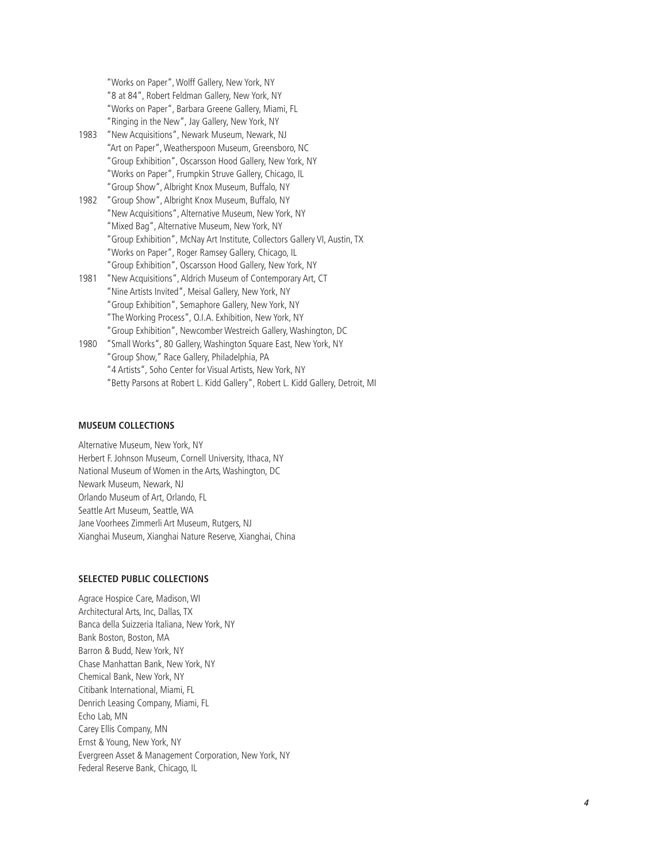"Works on Paper", Wolff Gallery, New York, NY "8 at 84", Robert Feldman Gallery, New York, NY "Works on Paper", Barbara Greene Gallery, Miami, FL "Ringing in the New", Jay Gallery, New York, NY

- 1983 "New Acquisitions", Newark Museum, Newark, NJ "Art on Paper", Weatherspoon Museum, Greensboro, NC "Group Exhibition", Oscarsson Hood Gallery, New York, NY "Works on Paper", Frumpkin Struve Gallery, Chicago, IL "Group Show", Albright Knox Museum, Buffalo, NY
- 1982 "Group Show", Albright Knox Museum, Buffalo, NY "New Acquisitions", Alternative Museum, New York, NY "Mixed Bag", Alternative Museum, New York, NY "Group Exhibition", McNay Art Institute, Collectors Gallery VI, Austin, TX "Works on Paper", Roger Ramsey Gallery, Chicago, IL "Group Exhibition", Oscarsson Hood Gallery, New York, NY
- 1981 "New Acquisitions", Aldrich Museum of Contemporary Art, CT "Nine Artists Invited", Meisal Gallery, New York, NY "Group Exhibition", Semaphore Gallery, New York, NY "The Working Process", O.I.A. Exhibition, New York, NY "Group Exhibition", Newcomber Westreich Gallery, Washington, DC
- 1980 "Small Works", 80 Gallery, Washington Square East, New York, NY "Group Show," Race Gallery, Philadelphia, PA "4 Artists", Soho Center for Visual Artists, New York, NY "Betty Parsons at Robert L. Kidd Gallery", Robert L. Kidd Gallery, Detroit, MI

## **MUSEUM COLLECTIONS**

Alternative Museum, New York, NY Herbert F. Johnson Museum, Cornell University, Ithaca, NY National Museum of Women in the Arts, Washington, DC Newark Museum, Newark, NJ Orlando Museum of Art, Orlando, FL Seattle Art Museum, Seattle, WA Jane Voorhees Zimmerli Art Museum, Rutgers, NJ Xianghai Museum, Xianghai Nature Reserve, Xianghai, China

## **SELECTED PUBLIC COLLECTIONS**

Agrace Hospice Care, Madison, WI Architectural Arts, Inc, Dallas, TX Banca della Suizzeria Italiana, New York, NY Bank Boston, Boston, MA Barron & Budd, New York, NY Chase Manhattan Bank, New York, NY Chemical Bank, New York, NY Citibank International, Miami, FL Denrich Leasing Company, Miami, FL Echo Lab, MN Carey Ellis Company, MN Ernst & Young, New York, NY Evergreen Asset & Management Corporation, New York, NY Federal Reserve Bank, Chicago, IL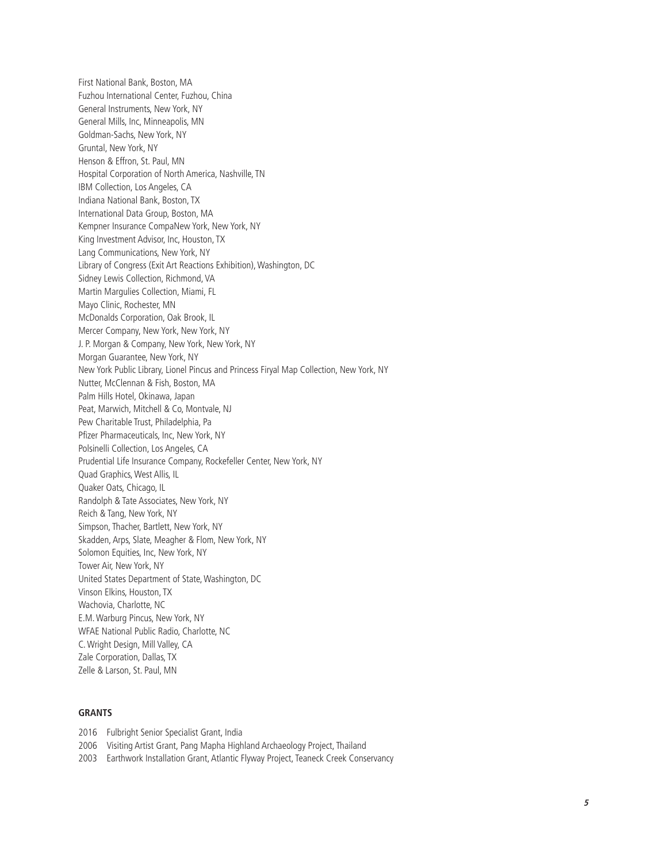First National Bank, Boston, MA Fuzhou International Center, Fuzhou, China General Instruments, New York, NY General Mills, Inc, Minneapolis, MN Goldman-Sachs, New York, NY Gruntal, New York, NY Henson & Effron, St. Paul, MN Hospital Corporation of North America, Nashville, TN IBM Collection, Los Angeles, CA Indiana National Bank, Boston, TX International Data Group, Boston, MA Kempner Insurance CompaNew York, New York, NY King Investment Advisor, Inc, Houston, TX Lang Communications, New York, NY Library of Congress (Exit Art Reactions Exhibition), Washington, DC Sidney Lewis Collection, Richmond, VA Martin Margulies Collection, Miami, FL Mayo Clinic, Rochester, MN McDonalds Corporation, Oak Brook, IL Mercer Company, New York, New York, NY J. P. Morgan & Company, New York, New York, NY Morgan Guarantee, New York, NY New York Public Library, Lionel Pincus and Princess Firyal Map Collection, New York, NY Nutter, McClennan & Fish, Boston, MA Palm Hills Hotel, Okinawa, Japan Peat, Marwich, Mitchell & Co, Montvale, NJ Pew Charitable Trust, Philadelphia, Pa Pfizer Pharmaceuticals, Inc, New York, NY Polsinelli Collection, Los Angeles, CA Prudential Life Insurance Company, Rockefeller Center, New York, NY Quad Graphics, West Allis, IL Quaker Oats, Chicago, IL Randolph & Tate Associates, New York, NY Reich & Tang, New York, NY Simpson, Thacher, Bartlett, New York, NY Skadden, Arps, Slate, Meagher & Flom, New York, NY Solomon Equities, Inc, New York, NY Tower Air, New York, NY United States Department of State, Washington, DC Vinson Elkins, Houston, TX Wachovia, Charlotte, NC E.M. Warburg Pincus, New York, NY WFAE National Public Radio, Charlotte, NC C. Wright Design, Mill Valley, CA Zale Corporation, Dallas, TX Zelle & Larson, St. Paul, MN

## **GRANTS**

2016 Fulbright Senior Specialist Grant, India 2006 Visiting Artist Grant, Pang Mapha Highland Archaeology Project, Thailand 2003 Earthwork Installation Grant, Atlantic Flyway Project, Teaneck Creek Conservancy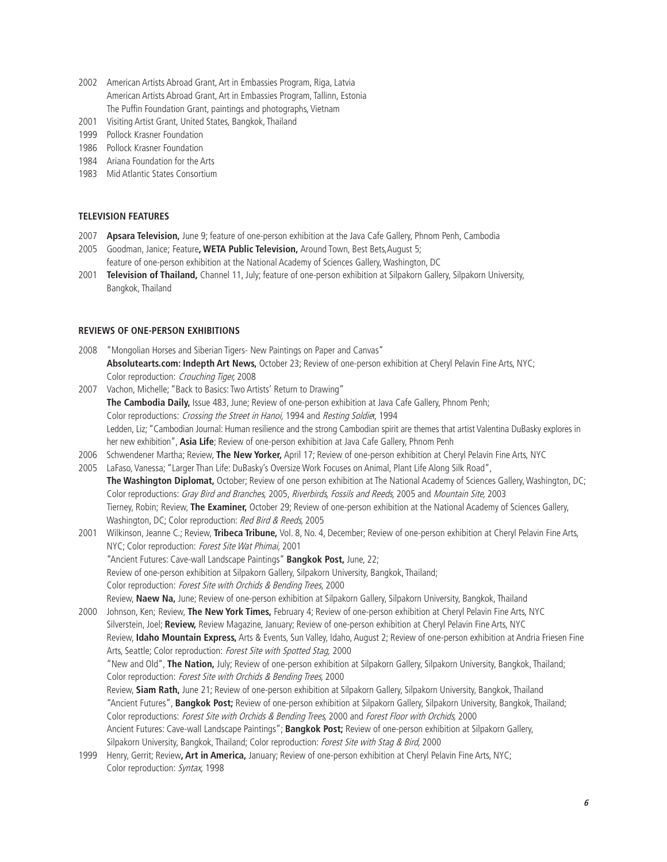- 2002 American Artists Abroad Grant, Art in Embassies Program, Riga, Latvia American Artists Abroad Grant, Art in Embassies Program, Tallinn, Estonia The Puffin Foundation Grant, paintings and photographs, Vietnam
- 2001 Visiting Artist Grant, United States, Bangkok, Thailand
- 1999 Pollock Krasner Foundation
- 1986 Pollock Krasner Foundation
- 1984 Ariana Foundation for the Arts
- 1983 Mid Atlantic States Consortium

## **TELEVISION FEATURES**

- 2007 **Apsara Television,** June 9; feature of one-person exhibition at the Java Cafe Gallery, Phnom Penh, Cambodia
- 2005 Goodman, Janice; Feature**, WETA Public Television,** Around Town, Best Bets,August 5; feature of one-person exhibition at the National Academy of Sciences Gallery, Washington, DC
- 2001 **Television of Thailand,** Channel 11, July; feature of one-person exhibition at Silpakorn Gallery, Silpakorn University, Bangkok, Thailand

## **REVIEWS OF ONE-PERSON EXHIBITIONS**

- 2008 "Mongolian Horses and Siberian Tigers- New Paintings on Paper and Canvas" **Absolutearts.com: Indepth Art News,** October 23; Review of one-person exhibition at Cheryl Pelavin Fine Arts, NYC; Color reproduction: Crouching Tiger, 2008
- 2007 Vachon, Michelle; "Back to Basics: Two Artists' Return to Drawing" **The Cambodia Daily,** Issue 483, June; Review of one-person exhibition at Java Cafe Gallery, Phnom Penh; Color reproductions: Crossing the Street in Hanoi, 1994 and Resting Soldier, 1994 Ledden, Liz; "Cambodian Journal: Human resilience and the strong Cambodian spirit are themes that artist Valentina DuBasky explores in her new exhibition", **Asia Life**; Review of one-person exhibition at Java Cafe Gallery, Phnom Penh
- 2006 Schwendener Martha; Review, **The New Yorker,** April 17; Review of one-person exhibition at Cheryl Pelavin Fine Arts, NYC
- 2005 LaFaso, Vanessa; "Larger Than Life: DuBasky's Oversize Work Focuses on Animal, Plant Life Along Silk Road", **The Washington Diplomat,** October; Review of one person exhibition at The National Academy of Sciences Gallery, Washington, DC; Color reproductions: Gray Bird and Branches, 2005, Riverbirds, Fossils and Reeds, 2005 and Mountain Site, 2003 Tierney, Robin; Review, **The Examiner,** October 29; Review of one-person exhibition at the National Academy of Sciences Gallery, Washington, DC; Color reproduction: Red Bird & Reeds, 2005
- 2001 Wilkinson, Jeanne C.; Review, **Tribeca Tribune,** Vol. 8, No. 4, December; Review of one-person exhibition at Cheryl Pelavin Fine Arts, NYC; Color reproduction: Forest Site Wat Phimai, 2001 "Ancient Futures: Cave-wall Landscape Paintings" **Bangkok Post,** June, 22; Review of one-person exhibition at Silpakorn Gallery, Silpakorn University, Bangkok, Thailand; Color reproduction: Forest Site with Orchids & Bending Trees, 2000 Review, **Naew Na,** June; Review of one-person exhibition at Silpakorn Gallery, Silpakorn University, Bangkok, Thailand
- 2000 Johnson, Ken; Review, **The New York Times,** February 4; Review of one-person exhibition at Cheryl Pelavin Fine Arts, NYC Silverstein, Joel; **Review,** Review Magazine, January; Review of one-person exhibition at Cheryl Pelavin Fine Arts, NYC Review, **Idaho Mountain Express,** Arts & Events, Sun Valley, Idaho, August 2; Review of one-person exhibition at Andria Friesen Fine Arts, Seattle; Color reproduction: Forest Site with Spotted Stag, 2000 "New and Old", **The Nation,** July; Review of one-person exhibition at Silpakorn Gallery, Silpakorn University, Bangkok, Thailand; Color reproduction: Forest Site with Orchids & Bending Trees, 2000 Review, **Siam Rath,** June 21; Review of one-person exhibition at Silpakorn Gallery, Silpakorn University, Bangkok, Thailand "Ancient Futures", **Bangkok Post;** Review of one-person exhibition at Silpakorn Gallery, Silpakorn University, Bangkok, Thailand; Color reproductions: Forest Site with Orchids & Bending Trees, 2000 and Forest Floor with Orchids, 2000 Ancient Futures: Cave-wall Landscape Paintings"; **Bangkok Post;** Review of one-person exhibition at Silpakorn Gallery, Silpakorn University, Bangkok, Thailand; Color reproduction: Forest Site with Stag & Bird, 2000
- 1999 Henry, Gerrit; Review**, Art in America,** January; Review of one-person exhibition at Cheryl Pelavin Fine Arts, NYC; Color reproduction: Syntax, 1998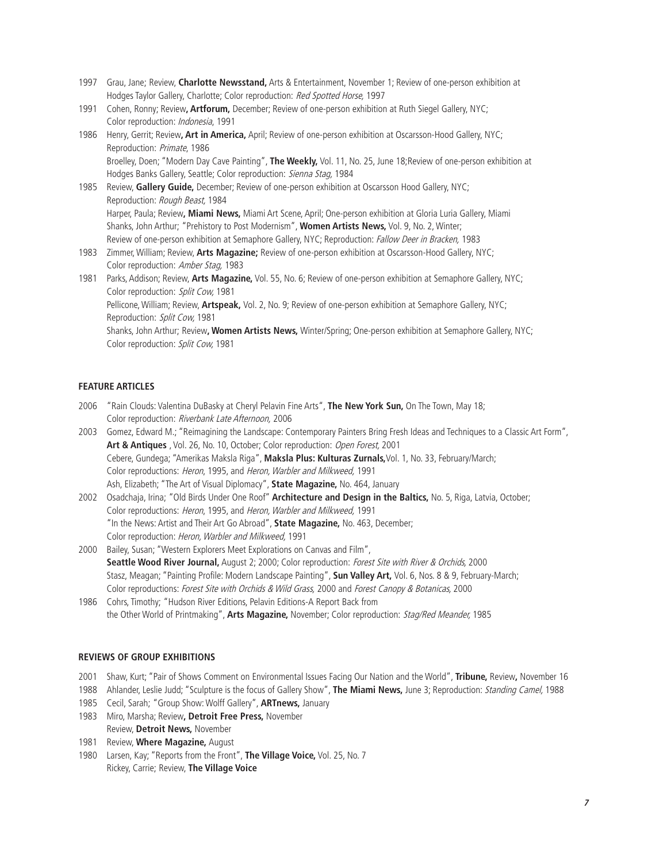- 1997 Grau, Jane; Review, **Charlotte Newsstand,** Arts & Entertainment, November 1; Review of one-person exhibition at Hodges Taylor Gallery, Charlotte; Color reproduction: Red Spotted Horse, 1997
- 1991 Cohen, Ronny; Review**, Artforum,** December; Review of one-person exhibition at Ruth Siegel Gallery, NYC; Color reproduction: Indonesia, 1991
- 1986 Henry, Gerrit; Review**, Art in America,** April; Review of one-person exhibition at Oscarsson-Hood Gallery, NYC; Reproduction: Primate, 1986

Broelley, Doen; "Modern Day Cave Painting", **The Weekly,** Vol. 11, No. 25, June 18;Review of one-person exhibition at Hodges Banks Gallery, Seattle; Color reproduction: Sienna Stag, 1984

- 1985 Review, **Gallery Guide,** December; Review of one-person exhibition at Oscarsson Hood Gallery, NYC; Reproduction: Rough Beast, 1984 Harper, Paula; Review**, Miami News,** Miami Art Scene, April; One-person exhibition at Gloria Luria Gallery, Miami Shanks, John Arthur; "Prehistory to Post Modernism", **Women Artists News,** Vol. 9, No. 2, Winter; Review of one-person exhibition at Semaphore Gallery, NYC; Reproduction: Fallow Deer in Bracken, 1983
- 1983 Zimmer, William; Review, **Arts Magazine;** Review of one-person exhibition at Oscarsson-Hood Gallery, NYC; Color reproduction: Amber Stag, 1983
- 1981 Parks, Addison; Review, **Arts Magazine,** Vol. 55, No. 6; Review of one-person exhibition at Semaphore Gallery, NYC; Color reproduction: Split Cow, 1981 Pellicone, William; Review, **Artspeak,** Vol. 2, No. 9; Review of one-person exhibition at Semaphore Gallery, NYC; Reproduction: Split Cow, 1981 Shanks, John Arthur; Review**, Women Artists News,** Winter/Spring; One-person exhibition at Semaphore Gallery, NYC; Color reproduction: Split Cow, 1981

## **FEATURE ARTICLES**

- 2006 "Rain Clouds: Valentina DuBasky at Cheryl Pelavin Fine Arts", **The New York Sun,** On The Town, May 18; Color reproduction: Riverbank Late Afternoon, 2006
- 2003 Gomez, Edward M.; "Reimagining the Landscape: Contemporary Painters Bring Fresh Ideas and Techniques to a Classic Art Form", **Art & Antiques** , Vol. 26, No. 10, October; Color reproduction: Open Forest, 2001 Cebere, Gundega; "Amerikas Maksla Riga", **Maksla Plus: Kulturas Zurnals,**Vol. 1, No. 33, February/March; Color reproductions: Heron, 1995, and Heron, Warbler and Milkweed, 1991 Ash, Elizabeth; "The Art of Visual Diplomacy", **State Magazine,** No. 464, January
- 2002 Osadchaja, Irina; "Old Birds Under One Roof" **Architecture and Design in the Baltics,** No. 5, Riga, Latvia, October; Color reproductions: Heron, 1995, and Heron, Warbler and Milkweed, 1991 "In the News: Artist and Their Art Go Abroad", **State Magazine,** No. 463, December; Color reproduction: Heron, Warbler and Milkweed, 1991
- 2000 Bailey, Susan; "Western Explorers Meet Explorations on Canvas and Film", **Seattle Wood River Journal,** August 2; 2000; Color reproduction: Forest Site with River & Orchids, 2000 Stasz, Meagan; "Painting Profile: Modern Landscape Painting", **Sun Valley Art,** Vol. 6, Nos. 8 & 9, February-March; Color reproductions: Forest Site with Orchids & Wild Grass, 2000 and Forest Canopy & Botanicas, 2000
- 1986 Cohrs, Timothy; "Hudson River Editions, Pelavin Editions-A Report Back from the Other World of Printmaking", **Arts Magazine,** November; Color reproduction: Stag/Red Meander, 1985

### **REVIEWS OF GROUP EXHIBITIONS**

- 2001 Shaw, Kurt; "Pair of Shows Comment on Environmental Issues Facing Our Nation and the World", **Tribune,** Review**,** November 16
- 1988 Ahlander, Leslie Judd; "Sculpture is the focus of Gallery Show", **The Miami News,** June 3; Reproduction: Standing Camel, 1988
- 1985 Cecil, Sarah; "Group Show: Wolff Gallery", **ARTnews,** January
- 1983 Miro, Marsha; Review**, Detroit Free Press,** November Review, **Detroit News,** November
- 1981 Review, **Where Magazine,** August
- 1980 Larsen, Kay; "Reports from the Front", **The Village Voice,** Vol. 25, No. 7 Rickey, Carrie; Review, **The Village Voice**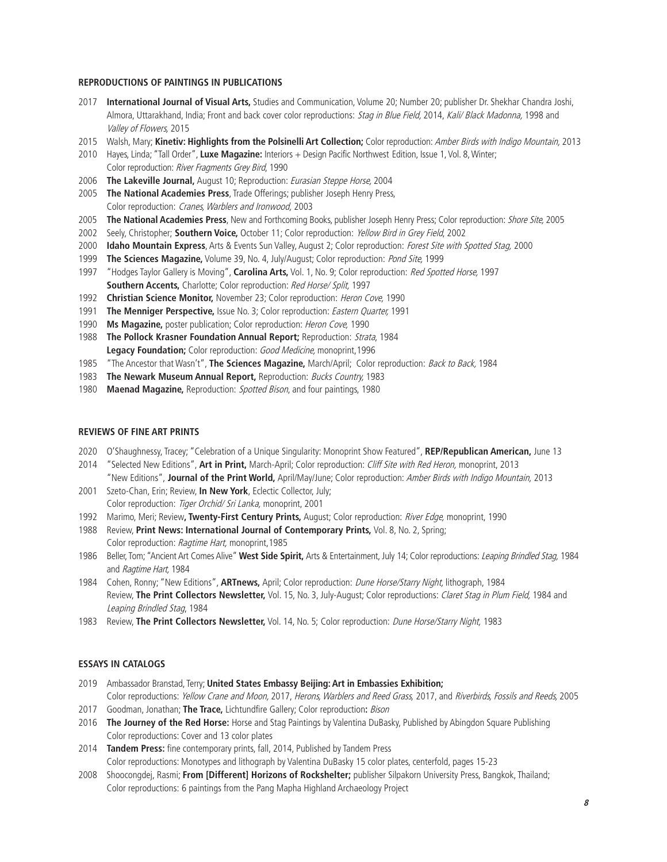#### **REPRODUCTIONS OF PAINTINGS IN PUBLICATIONS**

- **International Journal of Visual Arts,** Studies and Communication, Volume 20; Number 20; publisher Dr. Shekhar Chandra Joshi, Almora, Uttarakhand, India; Front and back cover color reproductions: Stag in Blue Field, 2014, Kali/ Black Madonna, 1998 and Valley of Flowers, 2015
- Walsh, Mary; **Kinetiv: Highlights from the Polsinelli Art Collection;** Color reproduction: Amber Birds with Indigo Mountain, 2013
- Hayes, Linda; "Tall Order", **Luxe Magazine:** Interiors + Design Pacific Northwest Edition, Issue 1, Vol. 8, Winter; Color reproduction: River Fragments Grey Bird, 1990
- **The Lakeville Journal,** August 10; Reproduction: Eurasian Steppe Horse, 2004
- **The National Academies Press**, Trade Offerings; publisher Joseph Henry Press, Color reproduction: Cranes, Warblers and Ironwood, 2003
- **The National Academies Press**, New and Forthcoming Books, publisher Joseph Henry Press; Color reproduction: Shore Site, 2005
- Seely, Christopher; **Southern Voice,** October 11; Color reproduction: Yellow Bird in Grey Field, 2002
- **Idaho Mountain Express**, Arts & Events Sun Valley, August 2; Color reproduction: Forest Site with Spotted Stag, 2000
- **The Sciences Magazine,** Volume 39, No. 4, July/August; Color reproduction: Pond Site, 1999
- "Hodges Taylor Gallery is Moving", **Carolina Arts,** Vol. 1, No. 9; Color reproduction: Red Spotted Horse, 1997 **Southern Accents.** Charlotte: Color reproduction: Red Horse/ Split, 1997
- **Christian Science Monitor,** November 23; Color reproduction: Heron Cove, 1990
- **The Menniger Perspective,** Issue No. 3; Color reproduction: Eastern Quarter, 1991
- **Ms Magazine,** poster publication; Color reproduction: Heron Cove, 1990
- **The Pollock Krasner Foundation Annual Report;** Reproduction: Strata, 1984 Legacy Foundation; Color reproduction: Good Medicine, monoprint, 1996
- "The Ancestor that Wasn't", **The Sciences Magazine,** March/April; Color reproduction: Back to Back, 1984
- **The Newark Museum Annual Report,** Reproduction: Bucks Country, 1983
- **Maenad Magazine,** Reproduction: Spotted Bison, and four paintings, 1980

### **REVIEWS OF FINE ART PRINTS**

- O'Shaughnessy, Tracey; "Celebration of a Unique Singularity: Monoprint Show Featured", **REP/Republican American,** June 13
- "Selected New Editions", **Art in Print,** March-April; Color reproduction: Cliff Site with Red Heron, monoprint, 2013 "New Editions", **Journal of the Print World,** April/May/June; Color reproduction: Amber Birds with Indigo Mountain, 2013
- Szeto-Chan, Erin; Review, **In New York**, Eclectic Collector, July; Color reproduction: Tiger Orchid/ Sri Lanka, monoprint, 2001
- Marimo, Meri; Review**, Twenty-First Century Prints,** August; Color reproduction: River Edge, monoprint, 1990
- Review, **Print News: International Journal of Contemporary Prints,** Vol. 8, No. 2, Spring; Color reproduction: Ragtime Hart, monoprint,1985
- Beller, Tom; "Ancient Art Comes Alive" **West Side Spirit,** Arts & Entertainment, July 14; Color reproductions: Leaping Brindled Stag, 1984 and Ragtime Hart, 1984
- Cohen, Ronny; "New Editions", **ARTnews,** April; Color reproduction: Dune Horse/Starry Night, lithograph, 1984 Review, **The Print Collectors Newsletter,** Vol. 15, No. 3, July-August; Color reproductions: Claret Stag in Plum Field, 1984 and Leaping Brindled Stag, 1984
- Review, **The Print Collectors Newsletter,** Vol. 14, No. 5; Color reproduction: Dune Horse/Starry Night, 1983

#### **ESSAYS IN CATALOGS**

- Ambassador Branstad, Terry; **United States Embassy Beijing: Art in Embassies Exhibition;**  Color reproductions: Yellow Crane and Moon, 2017, Herons, Warblers and Reed Grass, 2017, and Riverbirds, Fossils and Reeds, 2005
- Goodman, Jonathan; **The Trace,** Lichtundfire Gallery; Color reproduction**:** Bison
- **The Journey of the Red Horse:** Horse and Stag Paintings by Valentina DuBasky, Published by Abingdon Square Publishing Color reproductions: Cover and 13 color plates
- **Tandem Press:** fine contemporary prints, fall, 2014, Published by Tandem Press Color reproductions: Monotypes and lithograph by Valentina DuBasky 15 color plates, centerfold, pages 15-23
- Shoocongdej, Rasmi; **From [Different] Horizons of Rockshelter;** publisher Silpakorn University Press, Bangkok, Thailand; Color reproductions: 6 paintings from the Pang Mapha Highland Archaeology Project